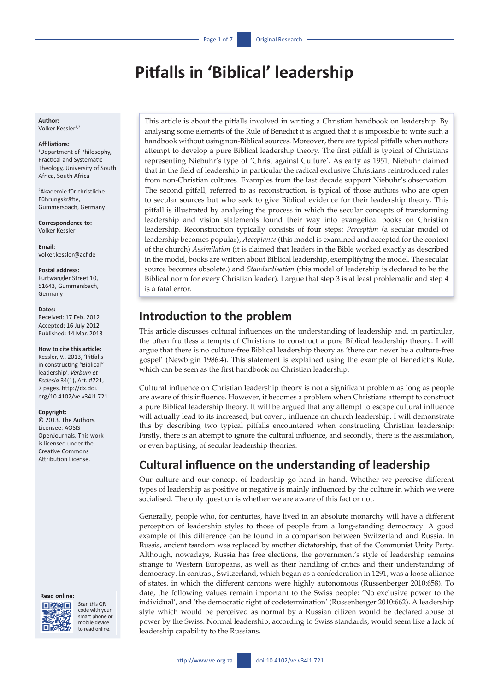# **Pitfalls in 'Biblical' leadership**

**Author:** Volker Kessler<sup>1,2</sup>

#### **Affiliations:**

1 Department of Philosophy, Practical and Systematic Theology, University of South Africa, South Africa

2 Akademie für christliche Führungskräfte, Gummersbach, Germany

**Correspondence to:** Volker Kessler

**Email:** [volker.kessler@acf.de](mailto:volker.kessler@acf.de)

#### **Postal address:**

Furtwängler Street 10, 51643, Gummersbach, Germany

#### **Dates:**

Received: 17 Feb. 2012 Accepted: 16 July 2012 Published: 14 Mar. 2013

#### **How to cite this article:**

Kessler, V., 2013, 'Pitfalls in constructing "Biblical" leadership', *Verbum et Ecclesia* 34(1), Art. #721, 7 pages. [http://dx.doi.](http://dx.doi.org/10.4102/ve.v34i1.721) [org/10.4102/ve.v34i1.721](http://dx.doi.org/10.4102/ve.v34i1.721)

#### **Copyright:**

© 2013. The Authors. Licensee: AOSIS OpenJournals. This work is licensed under the Creative Commons Attribution License.

#### **Read online:**



Scan this QR code with your smart phone or mobile device to read online.

This article is about the pitfalls involved in writing a Christian handbook on leadership. By analysing some elements of the Rule of Benedict it is argued that it is impossible to write such a handbook without using non-Biblical sources. Moreover, there are typical pitfalls when authors attempt to develop a pure Biblical leadership theory. The first pitfall is typical of Christians representing Niebuhr's type of 'Christ against Culture'. As early as 1951, Niebuhr claimed that in the field of leadership in particular the radical exclusive Christians reintroduced rules from non-Christian cultures. Examples from the last decade support Niebuhr's observation. The second pitfall, referred to as reconstruction, is typical of those authors who are open to secular sources but who seek to give Biblical evidence for their leadership theory. This pitfall is illustrated by analysing the process in which the secular concepts of transforming leadership and vision statements found their way into evangelical books on Christian leadership. Reconstruction typically consists of four steps: *Perception* (a secular model of leadership becomes popular), *Acceptance* (this model is examined and accepted for the context of the church) *Assimilation* (it is claimed that leaders in the Bible worked exactly as described in the model, books are written about Biblical leadership, exemplifying the model. The secular source becomes obsolete.) and *Standardisation* (this model of leadership is declared to be the Biblical norm for every Christian leader). I argue that step 3 is at least problematic and step 4 is a fatal error.

### **Introduction to the problem**

This article discusses cultural influences on the understanding of leadership and, in particular, the often fruitless attempts of Christians to construct a pure Biblical leadership theory. I will argue that there is no culture-free Biblical leadership theory as 'there can never be a culture-free gospel' (Newbigin 1986:4). This statement is explained using the example of Benedict's Rule, which can be seen as the first handbook on Christian leadership.

Cultural influence on Christian leadership theory is not a significant problem as long as people are aware of this influence. However, it becomes a problem when Christians attempt to construct a pure Biblical leadership theory. It will be argued that any attempt to escape cultural influence will actually lead to its increased, but covert, influence on church leadership. I will demonstrate this by describing two typical pitfalls encountered when constructing Christian leadership: Firstly, there is an attempt to ignore the cultural influence, and secondly, there is the assimilation, or even baptising, of secular leadership theories.

### **Cultural influence on the understanding of leadership**

Our culture and our concept of leadership go hand in hand. Whether we perceive different types of leadership as positive or negative is mainly influenced by the culture in which we were socialised. The only question is whether we are aware of this fact or not.

Generally, people who, for centuries, have lived in an absolute monarchy will have a different perception of leadership styles to those of people from a long-standing democracy. A good example of this difference can be found in a comparison between Switzerland and Russia. In Russia, ancient tsardom was replaced by another dictatorship, that of the Communist Unity Party. Although, nowadays, Russia has free elections, the government's style of leadership remains strange to Western Europeans, as well as their handling of critics and their understanding of democracy. In contrast, Switzerland, which began as a confederation in 1291, was a loose alliance of states, in which the different cantons were highly autonomous (Russenberger 2010:658). To date, the following values remain important to the Swiss people: 'No exclusive power to the individual', and 'the democratic right of codetermination' (Russenberger 2010:662). A leadership style which would be perceived as normal by a Russian citizen would be declared abuse of power by the Swiss. Normal leadership, according to Swiss standards, would seem like a lack of leadership capability to the Russians.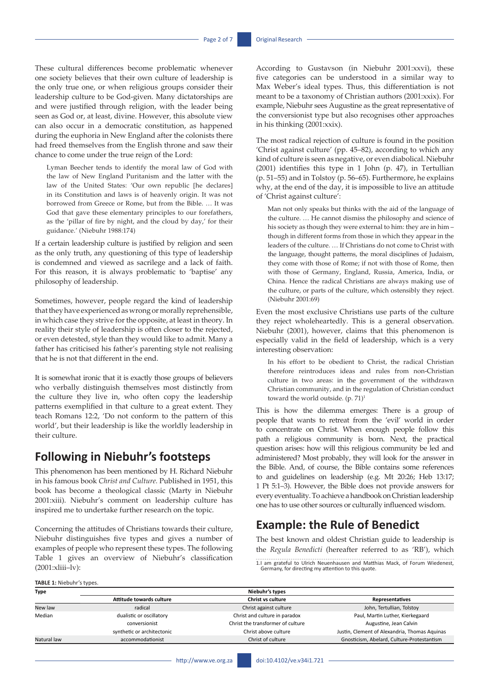These cultural differences become problematic whenever one society believes that their own culture of leadership is the only true one, or when religious groups consider their leadership culture to be God-given. Many dictatorships are and were justified through religion, with the leader being seen as God or, at least, divine. However, this absolute view can also occur in a democratic constitution, as happened during the euphoria in New England after the colonists there had freed themselves from the English throne and saw their chance to come under the true reign of the Lord:

Lyman Beecher tends to identify the moral law of God with the law of New England Puritanism and the latter with the law of the United States: 'Our own republic [he declares] in its Constitution and laws is of heavenly origin. It was not borrowed from Greece or Rome, but from the Bible. … It was God that gave these elementary principles to our forefathers, as the 'pillar of fire by night, and the cloud by day,' for their guidance.' (Niebuhr 1988:174)

If a certain leadership culture is justified by religion and seen as the only truth, any questioning of this type of leadership is condemned and viewed as sacrilege and a lack of faith. For this reason, it is always problematic to 'baptise' any philosophy of leadership.

Sometimes, however, people regard the kind of leadership that they have experienced as wrong or morally reprehensible, in which case they strive for the opposite, at least in theory. In reality their style of leadership is often closer to the rejected, or even detested, style than they would like to admit. Many a father has criticised his father's parenting style not realising that he is not that different in the end.

It is somewhat ironic that it is exactly those groups of believers who verbally distinguish themselves most distinctly from the culture they live in, who often copy the leadership patterns exemplified in that culture to a great extent. They teach Romans 12:2, 'Do not conform to the pattern of this world', but their leadership is like the worldly leadership in their culture.

### **Following in Niebuhr's footsteps**

This phenomenon has been mentioned by H. Richard Niebuhr in his famous book *Christ and Culture.* Published in 1951, this book has become a theological classic (Marty in Niebuhr 2001:xiii). Niebuhr's comment on leadership culture has inspired me to undertake further research on the topic.

Concerning the attitudes of Christians towards their culture, Niebuhr distinguishes five types and gives a number of examples of people who represent these types. The following Table 1 gives an overview of Niebuhr's classification (2001:xliii–lv):

According to Gustavson (in Niebuhr 2001:xxvi), these five categories can be understood in a similar way to Max Weber's ideal types. Thus, this differentiation is not meant to be a taxonomy of Christian authors (2001:xxix). For example, Niebuhr sees Augustine as the great representative of the conversionist type but also recognises other approaches in his thinking (2001:xxix).

The most radical rejection of culture is found in the position 'Christ against culture' (pp. 45–82), according to which any kind of culture is seen as negative, or even diabolical. Niebuhr (2001) identifies this type in 1 John (p. 47), in Tertullian (p. 51–55) and in Tolstoy (p. 56–65). Furthermore, he explains why, at the end of the day, it is impossible to live an attitude of 'Christ against culture':

Man not only speaks but thinks with the aid of the language of the culture. … He cannot dismiss the philosophy and science of his society as though they were external to him: they are in him – though in different forms from those in which they appear in the leaders of the culture. … If Christians do not come to Christ with the language, thought patterns, the moral disciplines of Judaism, they come with those of Rome; if not with those of Rome, then with those of Germany, England, Russia, America, India, or China. Hence the radical Christians are always making use of the culture, or parts of the culture, which ostensibly they reject. (Niebuhr 2001:69)

Even the most exclusive Christians use parts of the culture they reject wholeheartedly. This is a general observation. Niebuhr (2001), however, claims that this phenomenon is especially valid in the field of leadership, which is a very interesting observation:

In his effort to be obedient to Christ, the radical Christian therefore reintroduces ideas and rules from non-Christian culture in two areas: in the government of the withdrawn Christian community, and in the regulation of Christian conduct toward the world outside.  $(p. 71)^1$ 

This is how the dilemma emerges: There is a group of people that wants to retreat from the 'evil' world in order to concentrate on Christ. When enough people follow this path a religious community is born. Next, the practical question arises: how will this religious community be led and administered? Most probably, they will look for the answer in the Bible. And, of course, the Bible contains some references to and guidelines on leadership (e.g. Mt 20:26; Heb 13:17; 1 Pt 5:1–3). However, the Bible does not provide answers for every eventuality. To achieve a handbook on Christian leadership one has to use other sources or culturally influenced wisdom.

## **Example: the Rule of Benedict**

The best known and oldest Christian guide to leadership is the *Regula Benedicti* (hereafter referred to as 'RB'), which

1.I am grateful to Ulrich Neuenhausen and Matthias Mack, of Forum Wiedenest, Germany, for directing my attention to this quote.

**TABLE 1:** Niebuhr's types.

| <b>Type</b> | Niebuhr's types            |                                   |                                               |
|-------------|----------------------------|-----------------------------------|-----------------------------------------------|
|             | Attitude towards culture   | Christ vs culture                 | Representatives                               |
| New law     | radical                    | Christ against culture            | John, Tertullian, Tolstoy                     |
| Median      | dualistic or oscillatory   | Christ and culture in paradox     | Paul, Martin Luther, Kierkegaard              |
|             | conversionist              | Christ the transformer of culture | Augustine, Jean Calvin                        |
|             | synthetic or architectonic | Christ above culture              | Justin, Clement of Alexandria, Thomas Aguinas |
| Natural law | accommodationist           | Christ of culture                 | Gnosticism, Abelard, Culture-Protestantism    |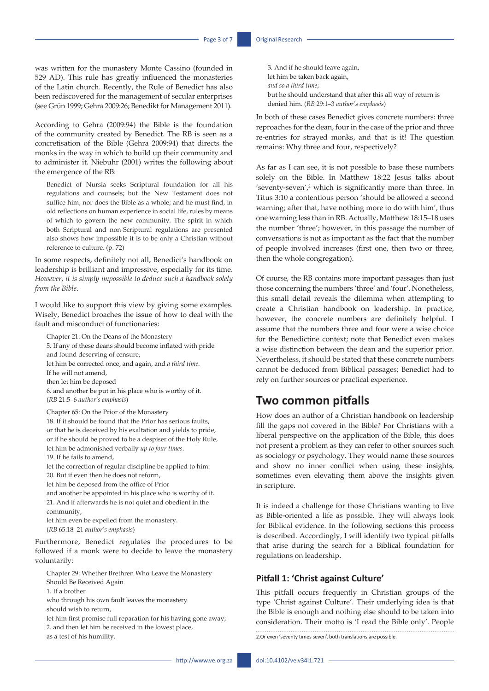was written for the monastery Monte Cassino (founded in 529 AD). This rule has greatly influenced the monasteries of the Latin church. Recently, the Rule of Benedict has also been rediscovered for the management of secular enterprises (see Grün 1999; Gehra 2009:26; Benedikt for Management 2011).

According to Gehra (2009:94) the Bible is the foundation of the community created by Benedict. The RB is seen as a concretisation of the Bible (Gehra 2009:94) that directs the monks in the way in which to build up their community and to administer it. Niebuhr (2001) writes the following about the emergence of the RB:

Benedict of Nursia seeks Scriptural foundation for all his regulations and counsels; but the New Testament does not suffice him, nor does the Bible as a whole; and he must find, in old reflections on human experience in social life, rules by means of which to govern the new community. The spirit in which both Scriptural and non-Scriptural regulations are presented also shows how impossible it is to be only a Christian without reference to culture. (p. 72)

In some respects, definitely not all, Benedict's handbook on leadership is brilliant and impressive, especially for its time. *However, it is simply impossible to deduce such a handbook solely from the Bible*.

I would like to support this view by giving some examples. Wisely, Benedict broaches the issue of how to deal with the fault and misconduct of functionaries:

Chapter 21: On the Deans of the Monastery 5. If any of these deans should become inflated with pride and found deserving of censure, let him be corrected once, and again, and *a third time*. If he will not amend, then let him be deposed 6. and another be put in his place who is worthy of it. (*RB* 21:5–6 *author's emphasis*)

Chapter 65: On the Prior of the Monastery 18. If it should be found that the Prior has serious faults, or that he is deceived by his exaltation and yields to pride, or if he should be proved to be a despiser of the Holy Rule, let him be admonished verbally *up to four times*. 19. If he fails to amend,

let the correction of regular discipline be applied to him.

20. But if even then he does not reform,

let him be deposed from the office of Prior

and another be appointed in his place who is worthy of it. 21. And if afterwards he is not quiet and obedient in the community,

let him even be expelled from the monastery. (*RB* 65:18–21 *author's emphasis*)

Furthermore, Benedict regulates the procedures to be followed if a monk were to decide to leave the monastery voluntarily:

Chapter 29: Whether Brethren Who Leave the Monastery Should Be Received Again 1. If a brother who through his own fault leaves the monastery should wish to return, let him first promise full reparation for his having gone away; 2. and then let him be received in the lowest place,

as a test of his humility.

3. And if he should leave again, let him be taken back again, *and so a third time*; but he should understand that after this all way of return is denied him. (*RB* 29:1–3 *author's emphasis*)

In both of these cases Benedict gives concrete numbers: three reproaches for the dean, four in the case of the prior and three re-entries for strayed monks, and that is it! The question remains: Why three and four, respectively?

As far as I can see, it is not possible to base these numbers solely on the Bible. In Matthew 18:22 Jesus talks about 'seventy-seven',<sup>2</sup> which is significantly more than three. In Titus 3:10 a contentious person 'should be allowed a second warning; after that, have nothing more to do with him', thus one warning less than in RB. Actually, Matthew 18:15–18 uses the number 'three'; however, in this passage the number of conversations is not as important as the fact that the number of people involved increases (first one, then two or three, then the whole congregation).

Of course, the RB contains more important passages than just those concerning the numbers 'three' and 'four'. Nonetheless, this small detail reveals the dilemma when attempting to create a Christian handbook on leadership. In practice, however, the concrete numbers are definitely helpful. I assume that the numbers three and four were a wise choice for the Benedictine context; note that Benedict even makes a wise distinction between the dean and the superior prior. Nevertheless, it should be stated that these concrete numbers cannot be deduced from Biblical passages; Benedict had to rely on further sources or practical experience.

### **Two common pitfalls**

How does an author of a Christian handbook on leadership fill the gaps not covered in the Bible? For Christians with a liberal perspective on the application of the Bible, this does not present a problem as they can refer to other sources such as sociology or psychology. They would name these sources and show no inner conflict when using these insights, sometimes even elevating them above the insights given in scripture.

It is indeed a challenge for those Christians wanting to live as Bible-oriented a life as possible. They will always look for Biblical evidence. In the following sections this process is described. Accordingly, I will identify two typical pitfalls that arise during the search for a Biblical foundation for regulations on leadership.

#### **Pitfall 1: 'Christ against Culture'**

This pitfall occurs frequently in Christian groups of the type 'Christ against Culture'. Their underlying idea is that the Bible is enough and nothing else should to be taken into consideration. Their motto is 'I read the Bible only'. People 2.Or even 'seventy times seven', both translations are possible.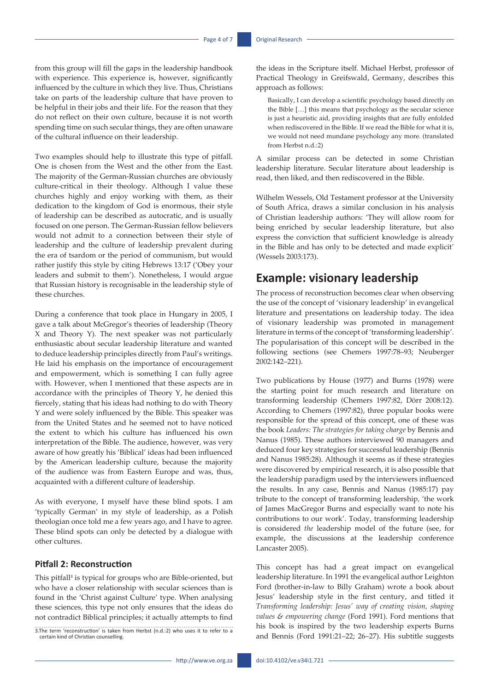from this group will fill the gaps in the leadership handbook with experience. This experience is, however, significantly influenced by the culture in which they live. Thus, Christians take on parts of the leadership culture that have proven to be helpful in their jobs and their life. For the reason that they do not reflect on their own culture, because it is not worth spending time on such secular things, they are often unaware of the cultural influence on their leadership.

Two examples should help to illustrate this type of pitfall. One is chosen from the West and the other from the East. The majority of the German-Russian churches are obviously culture-critical in their theology. Although I value these churches highly and enjoy working with them, as their dedication to the kingdom of God is enormous, their style of leadership can be described as autocratic, and is usually focused on one person. The German-Russian fellow believers would not admit to a connection between their style of leadership and the culture of leadership prevalent during the era of tsardom or the period of communism, but would rather justify this style by citing Hebrews 13:17 ('Obey your leaders and submit to them'). Nonetheless, I would argue that Russian history is recognisable in the leadership style of these churches.

During a conference that took place in Hungary in 2005, I gave a talk about McGregor's theories of leadership (Theory X and Theory Y). The next speaker was not particularly enthusiastic about secular leadership literature and wanted to deduce leadership principles directly from Paul's writings. He laid his emphasis on the importance of encouragement and empowerment, which is something I can fully agree with. However, when I mentioned that these aspects are in accordance with the principles of Theory Y, he denied this fiercely, stating that his ideas had nothing to do with Theory Y and were solely influenced by the Bible. This speaker was from the United States and he seemed not to have noticed the extent to which his culture has influenced his own interpretation of the Bible. The audience, however, was very aware of how greatly his 'Biblical' ideas had been influenced by the American leadership culture, because the majority of the audience was from Eastern Europe and was, thus, acquainted with a different culture of leadership.

As with everyone, I myself have these blind spots. I am 'typically German' in my style of leadership, as a Polish theologian once told me a few years ago, and I have to agree. These blind spots can only be detected by a dialogue with other cultures.

#### **Pitfall 2: Reconstruction**

This pitfall<sup>3</sup> is typical for groups who are Bible-oriented, but who have a closer relationship with secular sciences than is found in the 'Christ against Culture' type. When analysing these sciences, this type not only ensures that the ideas do not contradict Biblical principles; it actually attempts to find

3.The term 'reconstruction' is taken from Herbst (n.d.:2) who uses it to refer to a certain kind of Christian counselling.

the ideas in the Scripture itself. Michael Herbst, professor of Practical Theology in Greifswald, Germany, describes this approach as follows:

Basically, I can develop a scientific psychology based directly on the Bible […] this means that psychology as the secular science is just a heuristic aid, providing insights that are fully enfolded when rediscovered in the Bible. If we read the Bible for what it is, we would not need mundane psychology any more. (translated from Herbst n.d.:2)

A similar process can be detected in some Christian leadership literature. Secular literature about leadership is read, then liked, and then rediscovered in the Bible.

Wilhelm Wessels, Old Testament professor at the University of South Africa, draws a similar conclusion in his analysis of Christian leadership authors: 'They will allow room for being enriched by secular leadership literature, but also express the conviction that sufficient knowledge is already in the Bible and has only to be detected and made explicit' (Wessels 2003:173).

### **Example: visionary leadership**

The process of reconstruction becomes clear when observing the use of the concept of 'visionary leadership' in evangelical literature and presentations on leadership today. The idea of visionary leadership was promoted in management literature in terms of the concept of 'transforming leadership'. The popularisation of this concept will be described in the following sections (see Chemers 1997:78–93; Neuberger 2002:142–221).

Two publications by House (1977) and Burns (1978) were the starting point for much research and literature on transforming leadership (Chemers 1997:82, Dörr 2008:12). According to Chemers (1997:82), three popular books were responsible for the spread of this concept, one of these was the book *Leaders: The strategies for taking charge* by Bennis and Nanus (1985). These authors interviewed 90 managers and deduced four key strategies for successful leadership (Bennis and Nanus 1985:28). Although it seems as if these strategies were discovered by empirical research, it is also possible that the leadership paradigm used by the interviewers influenced the results. In any case, Bennis and Nanus (1985:17) pay tribute to the concept of transforming leadership*,* 'the work of James MacGregor Burns and especially want to note his contributions to our work'. Today, transforming leadership is considered *the* leadership model of the future (see, for example, the discussions at the leadership conference Lancaster 2005).

This concept has had a great impact on evangelical leadership literature. In 1991 the evangelical author Leighton Ford (brother-in-law to Billy Graham) wrote a book about Jesus' leadership style in the first century, and titled it *Transforming leadership: Jesus' way of creating vision, shaping values & empowering change* (Ford 1991). Ford mentions that his book is inspired by the two leadership experts Burns and Bennis (Ford 1991:21–22; 26–27). His subtitle suggests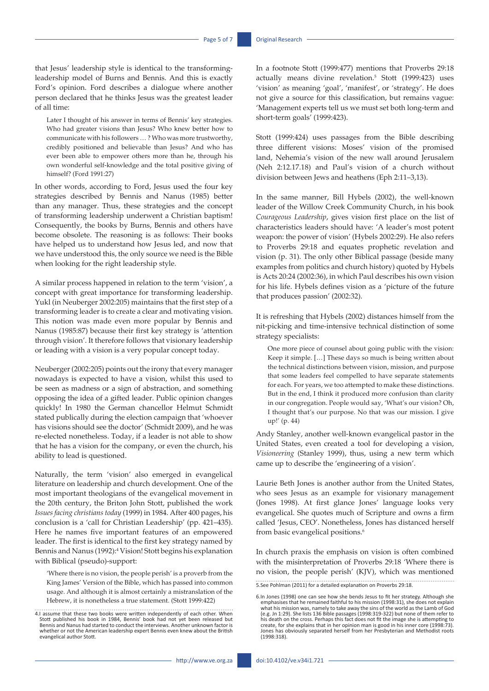that Jesus' leadership style is identical to the transformingleadership model of Burns and Bennis. And this is exactly Ford's opinion. Ford describes a dialogue where another person declared that he thinks Jesus was the greatest leader of all time:

Later I thought of his answer in terms of Bennis' key strategies. Who had greater visions than Jesus? Who knew better how to communicate with his followers … ? Who was more trustworthy, credibly positioned and believable than Jesus? And who has ever been able to empower others more than he, through his own wonderful self-knowledge and the total positive giving of himself? (Ford 1991:27)

In other words, according to Ford, Jesus used the four key strategies described by Bennis and Nanus (1985) better than any manager. Thus, these strategies and the concept of transforming leadership underwent a Christian baptism! Consequently, the books by Burns, Bennis and others have become obsolete. The reasoning is as follows: Their books have helped us to understand how Jesus led, and now that we have understood this, the only source we need is the Bible when looking for the right leadership style.

A similar process happened in relation to the term 'vision', a concept with great importance for transforming leadership. Yukl (in Neuberger 2002:205) maintains that the first step of a transforming leader is to create a clear and motivating vision. This notion was made even more popular by Bennis and Nanus (1985:87) because their first key strategy is 'attention through vision'. It therefore follows that visionary leadership or leading with a vision is a very popular concept today.

Neuberger (2002:205) points out the irony that every manager nowadays is expected to have a vision, whilst this used to be seen as madness or a sign of abstraction, and something opposing the idea of a gifted leader. Public opinion changes quickly! In 1980 the German chancellor Helmut Schmidt stated publically during the election campaign that 'whoever has visions should see the doctor' (Schmidt 2009), and he was re-elected nonetheless. Today, if a leader is not able to show that he has a vision for the company, or even the church, his ability to lead is questioned.

Naturally, the term 'vision' also emerged in evangelical literature on leadership and church development. One of the most important theologians of the evangelical movement in the 20th century, the Briton John Stott, published the work *Issues facing christians today* (1999) in 1984. After 400 pages, his conclusion is a 'call for Christian Leadership' (pp. 421–435). Here he names five important features of an empowered leader. The first is identical to the first key strategy named by Bennis and Nanus (1992):4 Vision! Stott begins his explanation with Biblical (pseudo)-support:

'Where there is no vision, the people perish' is a proverb from the King James' Version of the Bible, which has passed into common usage. And although it is almost certainly a mistranslation of the Hebrew, it is nonetheless a true statement. (Stott 1999:422)

4.I assume that these two books were written independently of each other. When Stott published his book in 1984, Bennis' book had not yet been released but Bennis and Nanus had started to conduct the interviews. Another unknown factor is whether or not the American leadership expert Bennis even knew about the British evangelical author Stott

In a footnote Stott (1999:477) mentions that Proverbs 29:18 actually means divine revelation.5 Stott (1999:423) uses 'vision' as meaning 'goal', 'manifest', or 'strategy'. He does not give a source for this classification, but remains vague: 'Management experts tell us we must set both long-term and short-term goals' (1999:423).

Stott (1999:424) uses passages from the Bible describing three different visions: Moses' vision of the promised land, Nehemia's vision of the new wall around Jerusalem (Neh 2:12.17.18) and Paul's vision of a church without division between Jews and heathens (Eph 2:11–3,13).

In the same manner, Bill Hybels (2002), the well-known leader of the Willow Creek Community Church, in his book *Courageous Leadership*, gives vision first place on the list of characteristics leaders should have: 'A leader's most potent weapon: the power of vision' (Hybels 2002:29). He also refers to Proverbs 29:18 and equates prophetic revelation and vision (p. 31). The only other Biblical passage (beside many examples from politics and church history) quoted by Hybels is Acts 20:24 (2002:36), in which Paul describes his own vision for his life. Hybels defines vision as a 'picture of the future that produces passion' (2002:32).

It is refreshing that Hybels (2002) distances himself from the nit-picking and time-intensive technical distinction of some strategy specialists:

One more piece of counsel about going public with the vision: Keep it simple. […] These days so much is being written about the technical distinctions between vision, mission, and purpose that some leaders feel compelled to have separate statements for each. For years, we too attempted to make these distinctions. But in the end, I think it produced more confusion than clarity in our congregation. People would say, 'What's our vision? Oh, I thought that's our purpose. No that was our mission. I give up!' (p. 44)

Andy Stanley, another well-known evangelical pastor in the United States, even created a tool for developing a vision, *Visioneering* (Stanley 1999), thus, using a new term which came up to describe the 'engineering of a vision'.

Laurie Beth Jones is another author from the United States, who sees Jesus as an example for visionary management (Jones 1998). At first glance Jones' language looks very evangelical. She quotes much of Scripture and owns a firm called 'Jesus, CEO'. Nonetheless, Jones has distanced herself from basic evangelical positions.6

In church praxis the emphasis on vision is often combined with the misinterpretation of Proverbs 29:18 'Where there is no vision, the people perish' (KJV), which was mentioned

<sup>5.</sup>See Pohlman (2011) for a detailed explanation on Proverbs 29:18.

<sup>6.</sup>In Jones (1998) one can see how she bends Jesus to fit her strategy. Although she emphasises that he remained faithful to his mission (1998:31), she does not explain what his mission was, namely to take away the sins of the world as the Lamb of God (e.g. Jn 1:29). She lists 136 Bible passages (1998:319-322) but none of them refer to<br>his death on the cross. Perhaps this fact does not fit the image she is attempting to<br>create, for she explains that in her opinion man i Jones has obviously separated herself from her Presbyterian and Methodist roots (1998:318).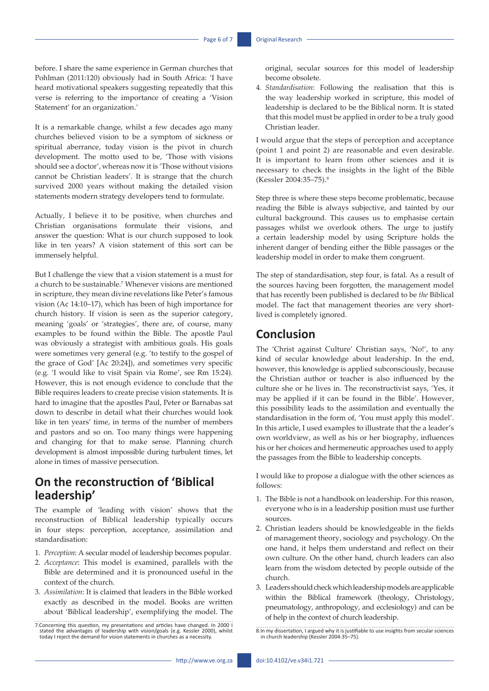before. I share the same experience in German churches that Pohlman (2011:120) obviously had in South Africa: 'I have heard motivational speakers suggesting repeatedly that this verse is referring to the importance of creating a 'Vision Statement' for an organization.'

It is a remarkable change, whilst a few decades ago many churches believed vision to be a symptom of sickness or spiritual aberrance, today vision is the pivot in church development. The motto used to be, 'Those with visions should see a doctor', whereas now it is 'Those without visions cannot be Christian leaders'. It is strange that the church survived 2000 years without making the detailed vision statements modern strategy developers tend to formulate.

Actually, I believe it to be positive, when churches and Christian organisations formulate their visions, and answer the question: What is our church supposed to look like in ten years? A vision statement of this sort can be immensely helpful.

But I challenge the view that a vision statement is a must for a church to be sustainable.7 Whenever visions are mentioned in scripture, they mean divine revelations like Peter's famous vision (Ac 14:10–17), which has been of high importance for church history. If vision is seen as the superior category, meaning 'goals' or 'strategies', there are, of course, many examples to be found within the Bible. The apostle Paul was obviously a strategist with ambitious goals. His goals were sometimes very general (e.g. 'to testify to the gospel of the grace of God' [Ac 20:24]), and sometimes very specific (e.g. 'I would like to visit Spain via Rome', see Rm 15:24). However, this is not enough evidence to conclude that the Bible requires leaders to create precise vision statements. It is hard to imagine that the apostles Paul, Peter or Barnabas sat down to describe in detail what their churches would look like in ten years' time, in terms of the number of members and pastors and so on. Too many things were happening and changing for that to make sense. Planning church development is almost impossible during turbulent times, let alone in times of massive persecution.

# **On the reconstruction of 'Biblical leadership'**

The example of 'leading with vision' shows that the reconstruction of Biblical leadership typically occurs in four steps: perception, acceptance, assimilation and standardisation:

- 1*. Perception*: A secular model of leadership becomes popular.
- 2*. Acceptance*: This model is examined, parallels with the Bible are determined and it is pronounced useful in the context of the church.
- 3*. Assimilation*: It is claimed that leaders in the Bible worked exactly as described in the model. Books are written about 'Biblical leadership', exemplifying the model. The

7. Concerning this question, my presentations and articles have changed. In 2000 I<br>stated the advantages of leadership with vision/goals (e.g. Kessler 2000), whilst<br>today I reject the demand for vision statements in church

original, secular sources for this model of leadership become obsolete.

4*. Standardisation*: Following the realisation that this is the way leadership worked in scripture, this model of leadership is declared to be the Biblical norm. It is stated that this model must be applied in order to be a truly good Christian leader.

I would argue that the steps of perception and acceptance (point 1 and point 2) are reasonable and even desirable. It is important to learn from other sciences and it is necessary to check the insights in the light of the Bible (Kessler 2004:35–75).8

Step three is where these steps become problematic, because reading the Bible is always subjective, and tainted by our cultural background. This causes us to emphasise certain passages whilst we overlook others. The urge to justify a certain leadership model by using Scripture holds the inherent danger of bending either the Bible passages or the leadership model in order to make them congruent.

The step of standardisation, step four, is fatal. As a result of the sources having been forgotten, the management model that has recently been published is declared to be *the* Biblical model. The fact that management theories are very shortlived is completely ignored.

### **Conclusion**

The 'Christ against Culture' Christian says, 'No!', to any kind of secular knowledge about leadership. In the end, however, this knowledge is applied subconsciously, because the Christian author or teacher is also influenced by the culture she or he lives in. The reconstructivist says, 'Yes, it may be applied if it can be found in the Bible'. However, this possibility leads to the assimilation and eventually the standardisation in the form of, 'You must apply this model'. In this article, I used examples to illustrate that the a leader's own worldview, as well as his or her biography, influences his or her choices and hermeneutic approaches used to apply the passages from the Bible to leadership concepts.

I would like to propose a dialogue with the other sciences as follows:

- 1. The Bible is not a handbook on leadership. For this reason, everyone who is in a leadership position must use further sources.
- 2. Christian leaders should be knowledgeable in the fields of management theory, sociology and psychology. On the one hand, it helps them understand and reflect on their own culture. On the other hand, church leaders can also learn from the wisdom detected by people outside of the church.
- 3. Leaders should check which leadership models are applicable within the Biblical framework (theology, Christology, pneumatology, anthropology, and ecclesiology) and can be of help in the context of church leadership.

<sup>8.</sup>In my dissertation, I argued why it is justifiable to use insights from secular sciences in church leadership (Kessler 2004:35–75).